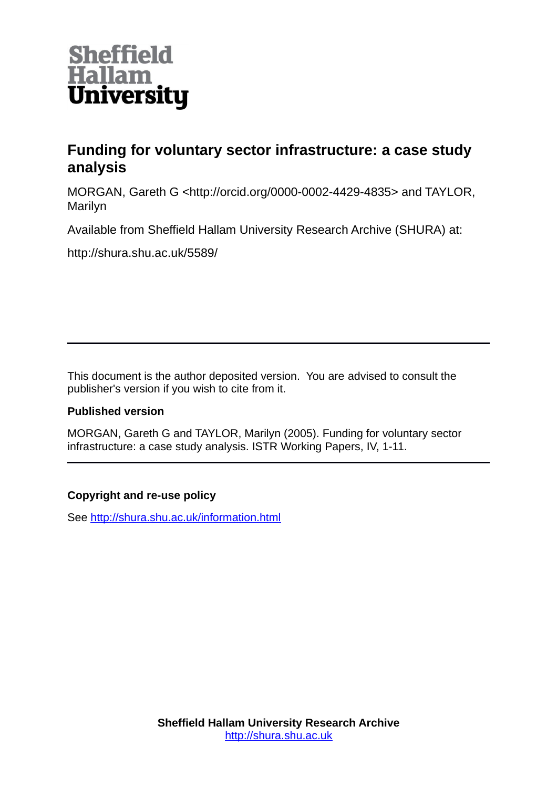

# **Funding for voluntary sector infrastructure: a case study analysis**

MORGAN, Gareth G <http://orcid.org/0000-0002-4429-4835> and TAYLOR, Marilyn

Available from Sheffield Hallam University Research Archive (SHURA) at:

http://shura.shu.ac.uk/5589/

This document is the author deposited version. You are advised to consult the publisher's version if you wish to cite from it.

# **Published version**

MORGAN, Gareth G and TAYLOR, Marilyn (2005). Funding for voluntary sector infrastructure: a case study analysis. ISTR Working Papers, IV, 1-11.

# **Copyright and re-use policy**

See<http://shura.shu.ac.uk/information.html>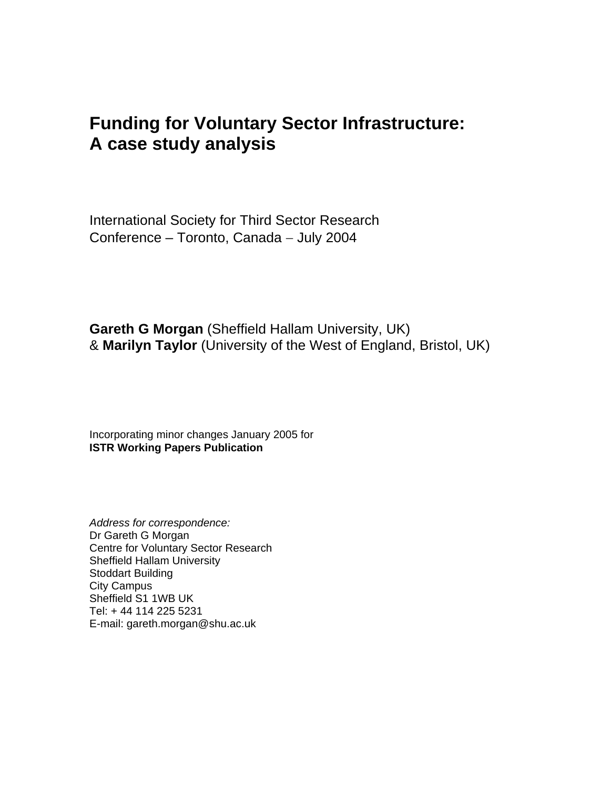# **Funding for Voluntary Sector Infrastructure: A case study analysis**

International Society for Third Sector Research Conference – Toronto, Canada − July 2004

**Gareth G Morgan** (Sheffield Hallam University, UK) & **Marilyn Taylor** (University of the West of England, Bristol, UK)

Incorporating minor changes January 2005 for **ISTR Working Papers Publication**

*Address for correspondence:*  Dr Gareth G Morgan Centre for Voluntary Sector Research Sheffield Hallam University Stoddart Building City Campus Sheffield S1 1WB UK Tel: + 44 114 225 5231 E-mail: gareth.morgan@shu.ac.uk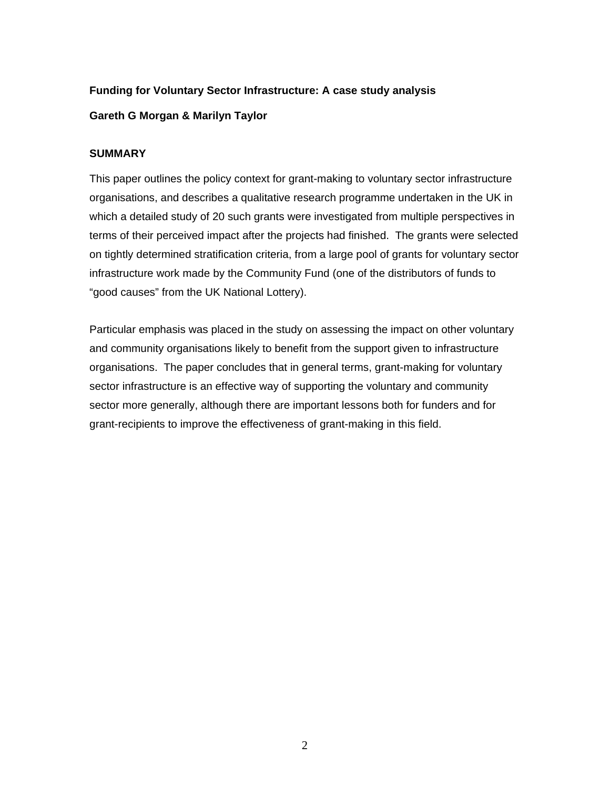# **Funding for Voluntary Sector Infrastructure: A case study analysis Gareth G Morgan & Marilyn Taylor**

#### **SUMMARY**

This paper outlines the policy context for grant-making to voluntary sector infrastructure organisations, and describes a qualitative research programme undertaken in the UK in which a detailed study of 20 such grants were investigated from multiple perspectives in terms of their perceived impact after the projects had finished. The grants were selected on tightly determined stratification criteria, from a large pool of grants for voluntary sector infrastructure work made by the Community Fund (one of the distributors of funds to "good causes" from the UK National Lottery).

Particular emphasis was placed in the study on assessing the impact on other voluntary and community organisations likely to benefit from the support given to infrastructure organisations. The paper concludes that in general terms, grant-making for voluntary sector infrastructure is an effective way of supporting the voluntary and community sector more generally, although there are important lessons both for funders and for grant-recipients to improve the effectiveness of grant-making in this field.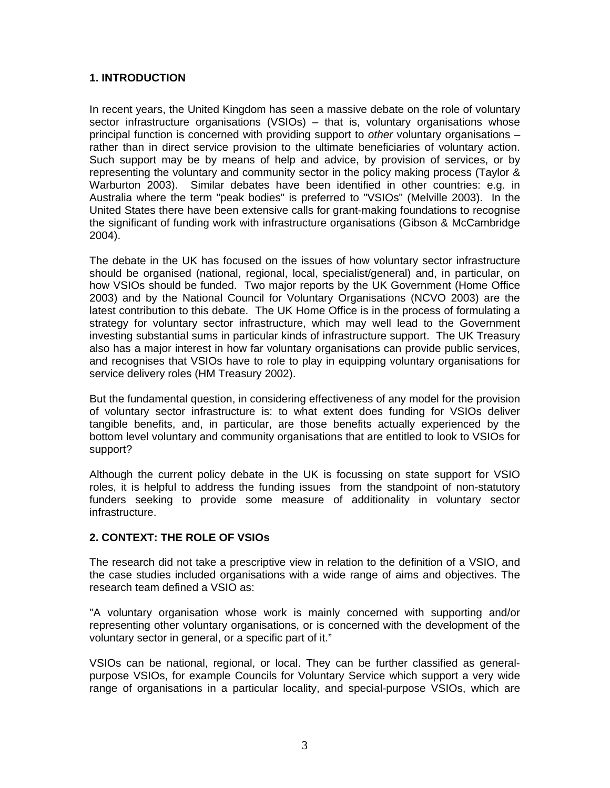#### **1. INTRODUCTION**

In recent years, the United Kingdom has seen a massive debate on the role of voluntary sector infrastructure organisations (VSIOs) – that is, voluntary organisations whose principal function is concerned with providing support to *other* voluntary organisations – rather than in direct service provision to the ultimate beneficiaries of voluntary action. Such support may be by means of help and advice, by provision of services, or by representing the voluntary and community sector in the policy making process (Taylor & Warburton 2003). Similar debates have been identified in other countries: e.g. in Australia where the term "peak bodies" is preferred to "VSIOs" (Melville 2003). In the United States there have been extensive calls for grant-making foundations to recognise the significant of funding work with infrastructure organisations (Gibson & McCambridge 2004).

The debate in the UK has focused on the issues of how voluntary sector infrastructure should be organised (national, regional, local, specialist/general) and, in particular, on how VSIOs should be funded. Two major reports by the UK Government (Home Office 2003) and by the National Council for Voluntary Organisations (NCVO 2003) are the latest contribution to this debate. The UK Home Office is in the process of formulating a strategy for voluntary sector infrastructure, which may well lead to the Government investing substantial sums in particular kinds of infrastructure support. The UK Treasury also has a major interest in how far voluntary organisations can provide public services, and recognises that VSIOs have to role to play in equipping voluntary organisations for service delivery roles (HM Treasury 2002).

But the fundamental question, in considering effectiveness of any model for the provision of voluntary sector infrastructure is: to what extent does funding for VSIOs deliver tangible benefits, and, in particular, are those benefits actually experienced by the bottom level voluntary and community organisations that are entitled to look to VSIOs for support?

Although the current policy debate in the UK is focussing on state support for VSIO roles, it is helpful to address the funding issues from the standpoint of non-statutory funders seeking to provide some measure of additionality in voluntary sector infrastructure.

#### **2. CONTEXT: THE ROLE OF VSIOs**

The research did not take a prescriptive view in relation to the definition of a VSIO, and the case studies included organisations with a wide range of aims and objectives. The research team defined a VSIO as:

"A voluntary organisation whose work is mainly concerned with supporting and/or representing other voluntary organisations, or is concerned with the development of the voluntary sector in general, or a specific part of it."

VSIOs can be national, regional, or local. They can be further classified as generalpurpose VSIOs, for example Councils for Voluntary Service which support a very wide range of organisations in a particular locality, and special-purpose VSIOs, which are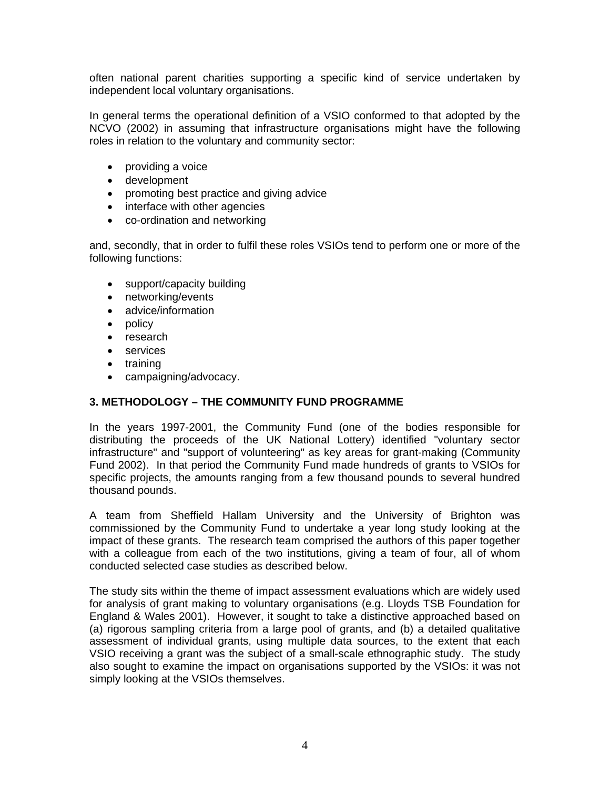often national parent charities supporting a specific kind of service undertaken by independent local voluntary organisations.

In general terms the operational definition of a VSIO conformed to that adopted by the NCVO (2002) in assuming that infrastructure organisations might have the following roles in relation to the voluntary and community sector:

- providing a voice
- development
- promoting best practice and giving advice
- interface with other agencies
- co-ordination and networking

and, secondly, that in order to fulfil these roles VSIOs tend to perform one or more of the following functions:

- support/capacity building
- networking/events
- advice/information
- policy
- research
- services
- training
- campaigning/advocacy.

## **3. METHODOLOGY – THE COMMUNITY FUND PROGRAMME**

In the years 1997-2001, the Community Fund (one of the bodies responsible for distributing the proceeds of the UK National Lottery) identified "voluntary sector infrastructure" and "support of volunteering" as key areas for grant-making (Community Fund 2002). In that period the Community Fund made hundreds of grants to VSIOs for specific projects, the amounts ranging from a few thousand pounds to several hundred thousand pounds.

A team from Sheffield Hallam University and the University of Brighton was commissioned by the Community Fund to undertake a year long study looking at the impact of these grants. The research team comprised the authors of this paper together with a colleague from each of the two institutions, giving a team of four, all of whom conducted selected case studies as described below.

The study sits within the theme of impact assessment evaluations which are widely used for analysis of grant making to voluntary organisations (e.g. Lloyds TSB Foundation for England & Wales 2001). However, it sought to take a distinctive approached based on (a) rigorous sampling criteria from a large pool of grants, and (b) a detailed qualitative assessment of individual grants, using multiple data sources, to the extent that each VSIO receiving a grant was the subject of a small-scale ethnographic study. The study also sought to examine the impact on organisations supported by the VSIOs: it was not simply looking at the VSIOs themselves.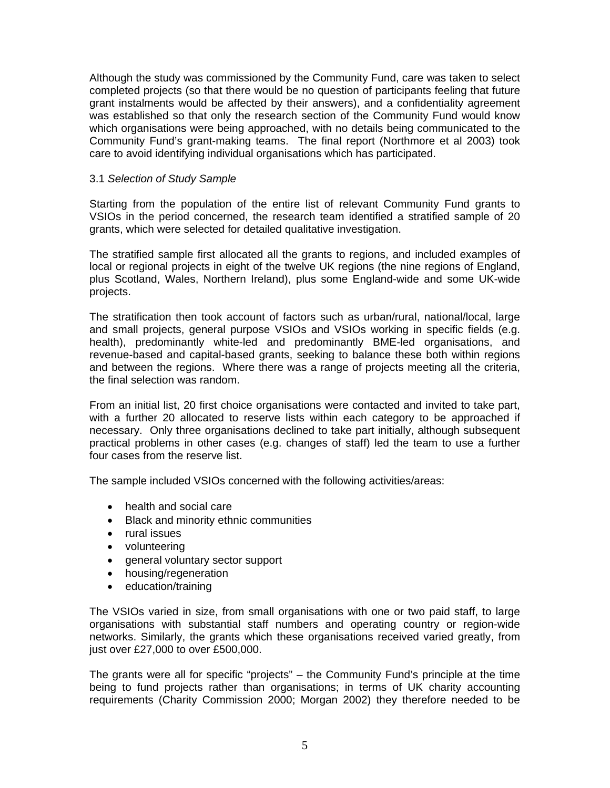Although the study was commissioned by the Community Fund, care was taken to select completed projects (so that there would be no question of participants feeling that future grant instalments would be affected by their answers), and a confidentiality agreement was established so that only the research section of the Community Fund would know which organisations were being approached, with no details being communicated to the Community Fund's grant-making teams. The final report (Northmore et al 2003) took care to avoid identifying individual organisations which has participated.

#### 3.1 *Selection of Study Sample*

Starting from the population of the entire list of relevant Community Fund grants to VSIOs in the period concerned, the research team identified a stratified sample of 20 grants, which were selected for detailed qualitative investigation.

The stratified sample first allocated all the grants to regions, and included examples of local or regional projects in eight of the twelve UK regions (the nine regions of England, plus Scotland, Wales, Northern Ireland), plus some England-wide and some UK-wide projects.

The stratification then took account of factors such as urban/rural, national/local, large and small projects, general purpose VSIOs and VSIOs working in specific fields (e.g. health), predominantly white-led and predominantly BME-led organisations, and revenue-based and capital-based grants, seeking to balance these both within regions and between the regions. Where there was a range of projects meeting all the criteria, the final selection was random.

From an initial list, 20 first choice organisations were contacted and invited to take part, with a further 20 allocated to reserve lists within each category to be approached if necessary. Only three organisations declined to take part initially, although subsequent practical problems in other cases (e.g. changes of staff) led the team to use a further four cases from the reserve list.

The sample included VSIOs concerned with the following activities/areas:

- health and social care
- Black and minority ethnic communities
- rural issues
- volunteering
- general voluntary sector support
- housing/regeneration
- education/training

The VSIOs varied in size, from small organisations with one or two paid staff, to large organisations with substantial staff numbers and operating country or region-wide networks. Similarly, the grants which these organisations received varied greatly, from just over £27,000 to over £500,000.

The grants were all for specific "projects" – the Community Fund's principle at the time being to fund projects rather than organisations; in terms of UK charity accounting requirements (Charity Commission 2000; Morgan 2002) they therefore needed to be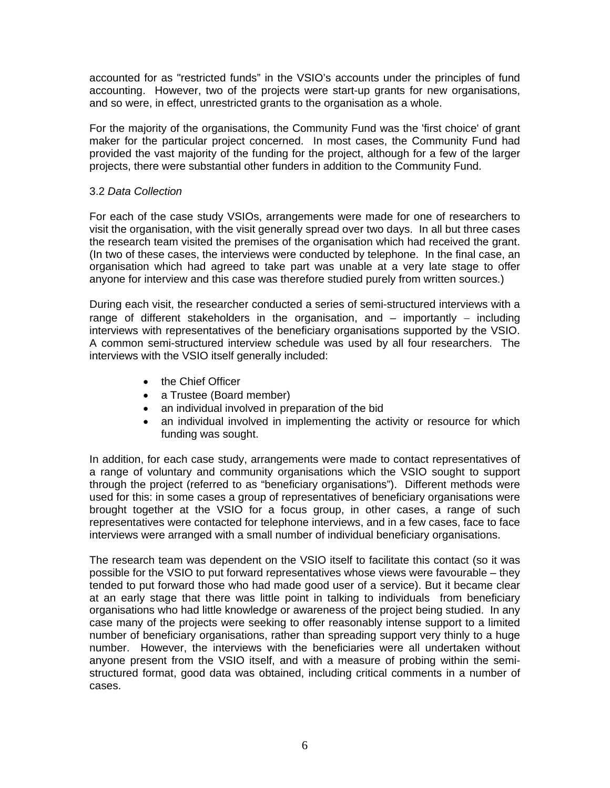accounted for as "restricted funds" in the VSIO's accounts under the principles of fund accounting. However, two of the projects were start-up grants for new organisations, and so were, in effect, unrestricted grants to the organisation as a whole.

For the majority of the organisations, the Community Fund was the 'first choice' of grant maker for the particular project concerned. In most cases, the Community Fund had provided the vast majority of the funding for the project, although for a few of the larger projects, there were substantial other funders in addition to the Community Fund.

#### 3.2 *Data Collection*

For each of the case study VSIOs, arrangements were made for one of researchers to visit the organisation, with the visit generally spread over two days. In all but three cases the research team visited the premises of the organisation which had received the grant. (In two of these cases, the interviews were conducted by telephone. In the final case, an organisation which had agreed to take part was unable at a very late stage to offer anyone for interview and this case was therefore studied purely from written sources.)

During each visit, the researcher conducted a series of semi-structured interviews with a range of different stakeholders in the organisation, and – importantly – including interviews with representatives of the beneficiary organisations supported by the VSIO. A common semi-structured interview schedule was used by all four researchers. The interviews with the VSIO itself generally included:

- the Chief Officer
- a Trustee (Board member)
- an individual involved in preparation of the bid
- an individual involved in implementing the activity or resource for which funding was sought.

In addition, for each case study, arrangements were made to contact representatives of a range of voluntary and community organisations which the VSIO sought to support through the project (referred to as "beneficiary organisations"). Different methods were used for this: in some cases a group of representatives of beneficiary organisations were brought together at the VSIO for a focus group, in other cases, a range of such representatives were contacted for telephone interviews, and in a few cases, face to face interviews were arranged with a small number of individual beneficiary organisations.

The research team was dependent on the VSIO itself to facilitate this contact (so it was possible for the VSIO to put forward representatives whose views were favourable – they tended to put forward those who had made good user of a service). But it became clear at an early stage that there was little point in talking to individuals from beneficiary organisations who had little knowledge or awareness of the project being studied. In any case many of the projects were seeking to offer reasonably intense support to a limited number of beneficiary organisations, rather than spreading support very thinly to a huge number. However, the interviews with the beneficiaries were all undertaken without anyone present from the VSIO itself, and with a measure of probing within the semistructured format, good data was obtained, including critical comments in a number of cases.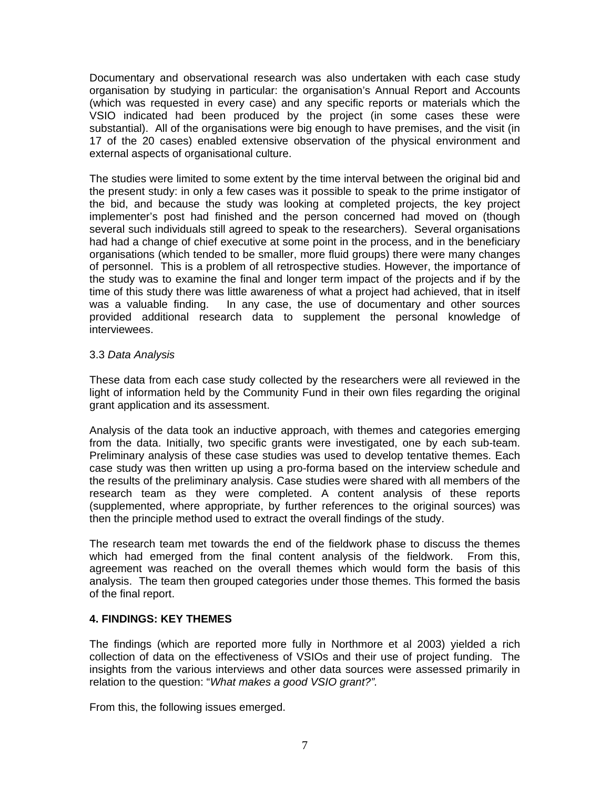Documentary and observational research was also undertaken with each case study organisation by studying in particular: the organisation's Annual Report and Accounts (which was requested in every case) and any specific reports or materials which the VSIO indicated had been produced by the project (in some cases these were substantial). All of the organisations were big enough to have premises, and the visit (in 17 of the 20 cases) enabled extensive observation of the physical environment and external aspects of organisational culture.

The studies were limited to some extent by the time interval between the original bid and the present study: in only a few cases was it possible to speak to the prime instigator of the bid, and because the study was looking at completed projects, the key project implementer's post had finished and the person concerned had moved on (though several such individuals still agreed to speak to the researchers). Several organisations had had a change of chief executive at some point in the process, and in the beneficiary organisations (which tended to be smaller, more fluid groups) there were many changes of personnel. This is a problem of all retrospective studies. However, the importance of the study was to examine the final and longer term impact of the projects and if by the time of this study there was little awareness of what a project had achieved, that in itself was a valuable finding. In any case, the use of documentary and other sources provided additional research data to supplement the personal knowledge of interviewees.

#### 3.3 *Data Analysis*

These data from each case study collected by the researchers were all reviewed in the light of information held by the Community Fund in their own files regarding the original grant application and its assessment.

Analysis of the data took an inductive approach, with themes and categories emerging from the data. Initially, two specific grants were investigated, one by each sub-team. Preliminary analysis of these case studies was used to develop tentative themes. Each case study was then written up using a pro-forma based on the interview schedule and the results of the preliminary analysis. Case studies were shared with all members of the research team as they were completed. A content analysis of these reports (supplemented, where appropriate, by further references to the original sources) was then the principle method used to extract the overall findings of the study.

The research team met towards the end of the fieldwork phase to discuss the themes which had emerged from the final content analysis of the fieldwork. From this, agreement was reached on the overall themes which would form the basis of this analysis. The team then grouped categories under those themes. This formed the basis of the final report.

#### **4. FINDINGS: KEY THEMES**

The findings (which are reported more fully in Northmore et al 2003) yielded a rich collection of data on the effectiveness of VSIOs and their use of project funding. The insights from the various interviews and other data sources were assessed primarily in relation to the question: "*What makes a good VSIO grant?".* 

From this, the following issues emerged.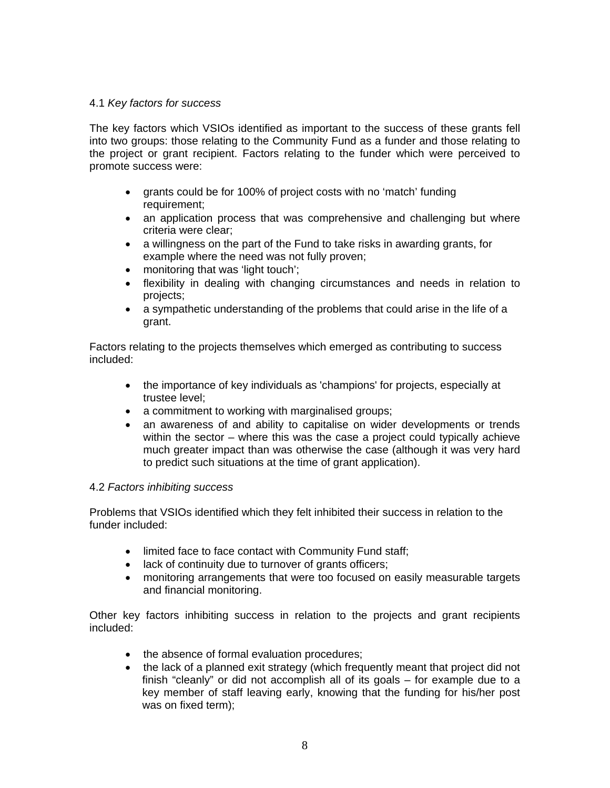#### 4.1 *Key factors for success*

The key factors which VSIOs identified as important to the success of these grants fell into two groups: those relating to the Community Fund as a funder and those relating to the project or grant recipient. Factors relating to the funder which were perceived to promote success were:

- grants could be for 100% of project costs with no 'match' funding requirement:
- an application process that was comprehensive and challenging but where criteria were clear;
- a willingness on the part of the Fund to take risks in awarding grants, for example where the need was not fully proven;
- monitoring that was 'light touch';
- flexibility in dealing with changing circumstances and needs in relation to projects;
- a sympathetic understanding of the problems that could arise in the life of a grant.

Factors relating to the projects themselves which emerged as contributing to success included:

- the importance of key individuals as 'champions' for projects, especially at trustee level;
- a commitment to working with marginalised groups;
- an awareness of and ability to capitalise on wider developments or trends within the sector – where this was the case a project could typically achieve much greater impact than was otherwise the case (although it was very hard to predict such situations at the time of grant application).

#### 4.2 *Factors inhibiting success*

Problems that VSIOs identified which they felt inhibited their success in relation to the funder included:

- limited face to face contact with Community Fund staff;
- lack of continuity due to turnover of grants officers;
- monitoring arrangements that were too focused on easily measurable targets and financial monitoring.

Other key factors inhibiting success in relation to the projects and grant recipients included:

- the absence of formal evaluation procedures;
- the lack of a planned exit strategy (which frequently meant that project did not finish "cleanly" or did not accomplish all of its goals – for example due to a key member of staff leaving early, knowing that the funding for his/her post was on fixed term);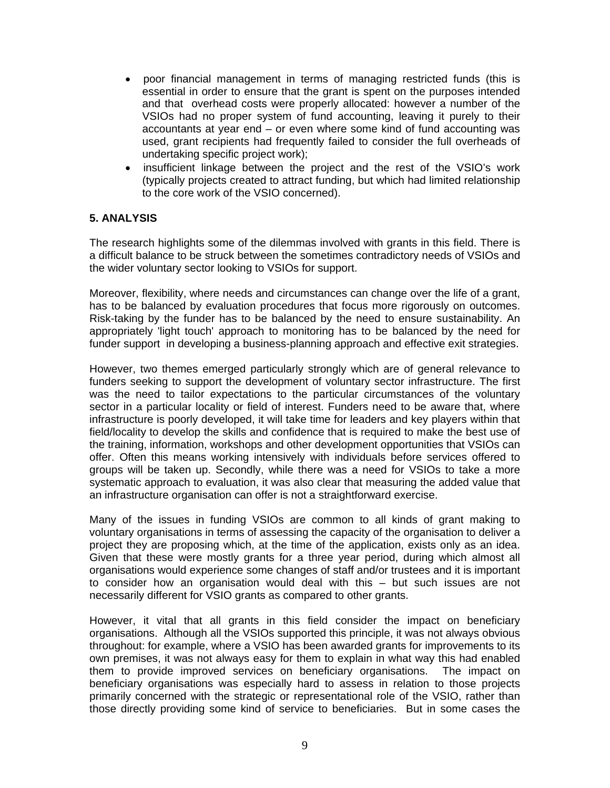- poor financial management in terms of managing restricted funds (this is essential in order to ensure that the grant is spent on the purposes intended and that overhead costs were properly allocated: however a number of the VSIOs had no proper system of fund accounting, leaving it purely to their accountants at year end – or even where some kind of fund accounting was used, grant recipients had frequently failed to consider the full overheads of undertaking specific project work);
- insufficient linkage between the project and the rest of the VSIO's work (typically projects created to attract funding, but which had limited relationship to the core work of the VSIO concerned).

#### **5. ANALYSIS**

The research highlights some of the dilemmas involved with grants in this field. There is a difficult balance to be struck between the sometimes contradictory needs of VSIOs and the wider voluntary sector looking to VSIOs for support.

Moreover, flexibility, where needs and circumstances can change over the life of a grant, has to be balanced by evaluation procedures that focus more rigorously on outcomes. Risk-taking by the funder has to be balanced by the need to ensure sustainability. An appropriately 'light touch' approach to monitoring has to be balanced by the need for funder support in developing a business-planning approach and effective exit strategies.

However, two themes emerged particularly strongly which are of general relevance to funders seeking to support the development of voluntary sector infrastructure. The first was the need to tailor expectations to the particular circumstances of the voluntary sector in a particular locality or field of interest. Funders need to be aware that, where infrastructure is poorly developed, it will take time for leaders and key players within that field/locality to develop the skills and confidence that is required to make the best use of the training, information, workshops and other development opportunities that VSIOs can offer. Often this means working intensively with individuals before services offered to groups will be taken up. Secondly, while there was a need for VSIOs to take a more systematic approach to evaluation, it was also clear that measuring the added value that an infrastructure organisation can offer is not a straightforward exercise.

Many of the issues in funding VSIOs are common to all kinds of grant making to voluntary organisations in terms of assessing the capacity of the organisation to deliver a project they are proposing which, at the time of the application, exists only as an idea. Given that these were mostly grants for a three year period, during which almost all organisations would experience some changes of staff and/or trustees and it is important to consider how an organisation would deal with this – but such issues are not necessarily different for VSIO grants as compared to other grants.

However, it vital that all grants in this field consider the impact on beneficiary organisations. Although all the VSIOs supported this principle, it was not always obvious throughout: for example, where a VSIO has been awarded grants for improvements to its own premises, it was not always easy for them to explain in what way this had enabled them to provide improved services on beneficiary organisations. The impact on beneficiary organisations was especially hard to assess in relation to those projects primarily concerned with the strategic or representational role of the VSIO, rather than those directly providing some kind of service to beneficiaries. But in some cases the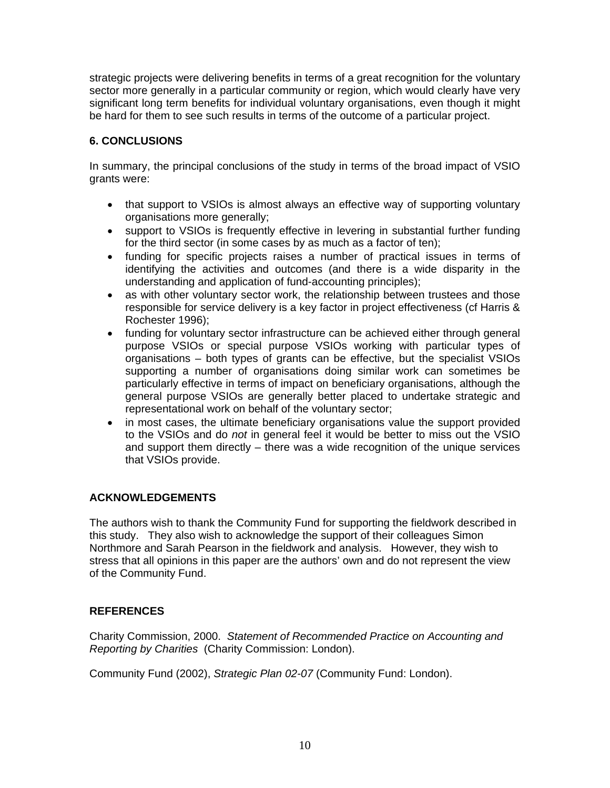strategic projects were delivering benefits in terms of a great recognition for the voluntary sector more generally in a particular community or region, which would clearly have very significant long term benefits for individual voluntary organisations, even though it might be hard for them to see such results in terms of the outcome of a particular project.

## **6. CONCLUSIONS**

In summary, the principal conclusions of the study in terms of the broad impact of VSIO grants were:

- that support to VSIOs is almost always an effective way of supporting voluntary organisations more generally;
- support to VSIOs is frequently effective in levering in substantial further funding for the third sector (in some cases by as much as a factor of ten);
- funding for specific projects raises a number of practical issues in terms of identifying the activities and outcomes (and there is a wide disparity in the understanding and application of fund-accounting principles);
- as with other voluntary sector work, the relationship between trustees and those responsible for service delivery is a key factor in project effectiveness (cf Harris & Rochester 1996);
- funding for voluntary sector infrastructure can be achieved either through general purpose VSIOs or special purpose VSIOs working with particular types of organisations – both types of grants can be effective, but the specialist VSIOs supporting a number of organisations doing similar work can sometimes be particularly effective in terms of impact on beneficiary organisations, although the general purpose VSIOs are generally better placed to undertake strategic and representational work on behalf of the voluntary sector;
- in most cases, the ultimate beneficiary organisations value the support provided to the VSIOs and do *not* in general feel it would be better to miss out the VSIO and support them directly – there was a wide recognition of the unique services that VSIOs provide.

## **ACKNOWLEDGEMENTS**

The authors wish to thank the Community Fund for supporting the fieldwork described in this study. They also wish to acknowledge the support of their colleagues Simon Northmore and Sarah Pearson in the fieldwork and analysis. However, they wish to stress that all opinions in this paper are the authors' own and do not represent the view of the Community Fund.

## **REFERENCES**

Charity Commission, 2000. *Statement of Recommended Practice on Accounting and Reporting by Charities* (Charity Commission: London).

Community Fund (2002), *Strategic Plan 02-07* (Community Fund: London).